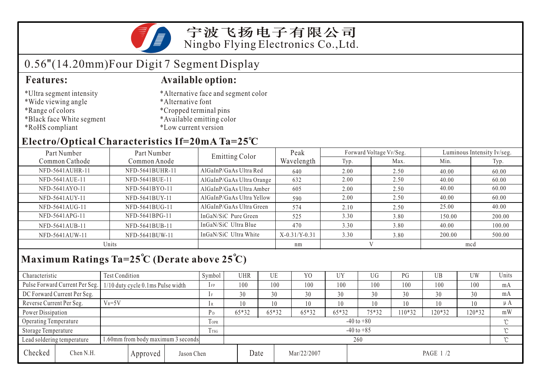

# 0.56"(14.20mm)Four Digit 7 Segment Display

- \*Ultra segment intensity
- \*Wide viewing angle
- \*Range of colors
- \*Black face White segment
- \*RoHS compliant

#### **Features: Available option:**

- \*Alternative face and segment color
- \*Alternative font
- \*Cropped terminal pins
- \*Available emitting color
- \*Low current version

### **Electro/Optical Characteristics If=20mA Ta=25 C**

| Part Number<br>Part Number |                 | Emitting Color            | Peak            |      | Forward Voltage VF/Seg. |        | Luminous Intensity Iv/seg. |  |
|----------------------------|-----------------|---------------------------|-----------------|------|-------------------------|--------|----------------------------|--|
| Common Cathode             | Common Anode    |                           | Wavelength      | Typ. | Max.                    | Min.   | Typ.                       |  |
| NFD-5641AUHR-11            | NFD-5641BUHR-11 | AlGaInP/GaAs Ultra Red    | 640             | 2.00 | 2.50                    | 40.00  | 60.00                      |  |
| NFD-5641AUE-11             | NFD-5641BUE-11  | AlGaInP/GaAs Ultra Orange | 632             | 2.00 | 2.50                    | 40.00  | 60.00                      |  |
| NFD-5641AYO-11             | NFD-5641BYO-11  | AlGaInP/GaAs Ultra Amber  | 605             | 2.00 | 2.50                    | 40.00  | 60.00                      |  |
| NFD-5641AUY-11             | NFD-5641BUY-11  | AlGaInP/GaAs Ultra Yellow | 590             | 2.00 | 2.50                    | 40.00  | 60.00                      |  |
| NFD-5641AUG-11             | NFD-5641BUG-11  | AlGaInP/GaAs Ultra Green  | 574             | 2.10 | 2.50                    | 25.00  | 40.00                      |  |
| NFD-5641APG-11             | NFD-5641BPG-11  | InGaN/SiC Pure Green      | 525             | 3.30 | 3.80                    | 150.00 | 200.00                     |  |
| NFD-5641AUB-11             | NFD-5641BUB-11  | InGaN/SiC Ultra Blue      | 470             | 3.30 | 3.80                    | 40.00  | 100.00                     |  |
| NFD-5641AUW-11             | NFD-5641BUW-11  | InGaN/SiC Ultra White     | $X-0.31/Y-0.31$ | 3.30 | 3.80                    | 200.00 | 500.00                     |  |
| Units                      |                 |                           | nm              | V    |                         | mcd    |                            |  |

## **Maximum Ratings Ta=25 C (Derate above 25 C)**

| Characteristic           |                                     | Test Condition                     |      |                     | Symbol         | UHR   |    | UE    | Y <sub>0</sub> | UY    | UG    | PG      | UB     | <b>UW</b> | Units   |
|--------------------------|-------------------------------------|------------------------------------|------|---------------------|----------------|-------|----|-------|----------------|-------|-------|---------|--------|-----------|---------|
|                          | Pulse Forward Current Per Seg.      | 1/10 duty cycle 0.1ms Pulse width  |      |                     | $1$ FP         | 100   |    | 100   | 100            | 100   | 100   | 100     | 100    | 100       | mA      |
|                          | DC Forward Current Per Seg.         |                                    |      | 1F                  | 30             |       | 30 | 30    | 30             | 30    | 30    | 30      | 30     | mA        |         |
| Reverse Current Per Seg. |                                     | $V_R = 5V$                         |      |                     | 1 R            | 10    |    | 10    | 10             | 10    | 10    | 10      | 10     | 10        | $\mu A$ |
| Power Dissipation        |                                     |                                    |      |                     | $P_D$          | 65*32 |    | 65*32 | 65*32          | 65*32 | 75*32 | $10*32$ | 120*32 | 120*32    | mW      |
| Operating Temperature    |                                     |                                    |      | <b>TOPR</b>         | $-40$ to $+80$ |       |    |       |                |       |       |         |        | $\sim$    |         |
| Storage Temperature      |                                     |                                    | Trsg | $-40$ to $+85$      |                |       |    |       |                |       |       |         | $\sim$ |           |         |
|                          | Lead soldering temperature          | 1.60mm from body maximum 3 seconds |      |                     |                | 260   |    |       |                |       |       |         |        |           |         |
| Checked                  | Chen N.H.<br>Jason Chen<br>Approved |                                    |      | Date<br>Mar/22/2007 |                |       |    |       | PAGE 1/2       |       |       |         |        |           |         |